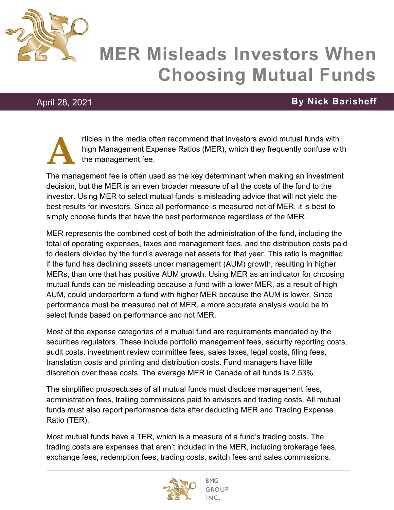

## **MER Misleads Investors When Choosing Mutual Funds**

## April 28, 2021 **By Nick Barisheff**



rticles in the media often recommend that investors avoid mutual funds with high Management Expense Ratios (MER), which they frequently confuse with the management fee.

The management fee is often used as the key determinant when making an investment decision, but the MER is an even broader measure of all the costs of the fund to the investor. Using MER to select mutual funds is misleading advice that will not yield the best results for investors. Since all performance is measured net of MER, it is best to simply choose funds that have the best performance regardless of the MER.

MER represents the combined cost of both the administration of the fund, including the total of operating expenses, taxes and management fees, and the distribution costs paid to dealers divided by the fund's average net assets for that year. This ratio is magnified if the fund has declining assets under management (AUM) growth, resulting in higher MERs, than one that has positive AUM growth. Using MER as an indicator for choosing mutual funds can be misleading because a fund with a lower MER, as a result of high AUM, could underperform a fund with higher MER because the AUM is lower. Since performance must be measured net of MER, a more accurate analysis would be to select funds based on performance and not MER.

Most of the expense categories of a mutual fund are requirements mandated by the securities regulators. These include portfolio management fees, security reporting costs, audit costs, investment review committee fees, sales taxes, legal costs, filing fees, translation costs and printing and distribution costs. Fund managers have little discretion over these costs. The average MER in Canada of all funds is 2.53%.

The simplified prospectuses of all mutual funds must disclose management fees, administration fees, trailing commissions paid to advisors and trading costs. All mutual funds must also report performance data after deducting MER and Trading Expense Ratio (TER).

Most mutual funds have a TER, which is a measure of a fund's trading costs. The trading costs are expenses that aren't included in the MER, including brokerage fees, exchange fees, redemption fees, trading costs, switch fees and sales commissions.

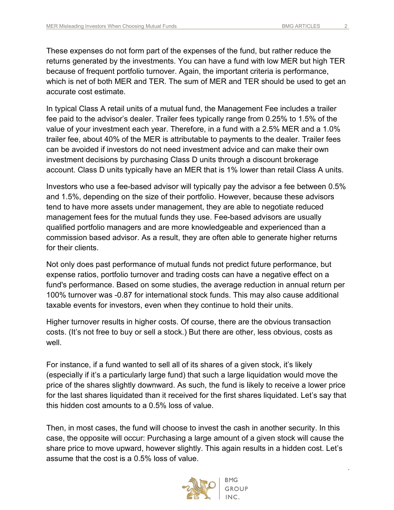These expenses do not form part of the expenses of the fund, but rather reduce the returns generated by the investments. You can have a fund with low MER but high TER because of frequent portfolio turnover. Again, the important criteria is performance, which is net of both MER and TER. The sum of MER and TER should be used to get an accurate cost estimate.

In typical Class A retail units of a mutual fund, the Management Fee includes a trailer fee paid to the advisor's dealer. Trailer fees typically range from 0.25% to 1.5% of the value of your investment each year. Therefore, in a fund with a 2.5% MER and a 1.0% trailer fee, about 40% of the MER is attributable to payments to the dealer. Trailer fees can be avoided if investors do not need investment advice and can make their own investment decisions by purchasing Class D units through a discount brokerage account. Class D units typically have an MER that is 1% lower than retail Class A units.

Investors who use a fee-based advisor will typically pay the advisor a fee between 0.5% and 1.5%, depending on the size of their portfolio. However, because these advisors tend to have more assets under management, they are able to negotiate reduced management fees for the mutual funds they use. Fee-based advisors are usually qualified portfolio managers and are more knowledgeable and experienced than a commission based advisor. As a result, they are often able to generate higher returns for their clients.

Not only does past performance of mutual funds not predict future performance, but expense ratios, portfolio turnover and trading costs can have a negative effect on a fund's performance. Based on some studies, the average reduction in annual return per 100% turnover was -0.87 for international stock funds. This may also cause additional taxable events for investors, even when they continue to hold their units.

Higher turnover results in higher costs. Of course, there are the obvious transaction costs. (It's not free to buy or sell a stock.) But there are other, less obvious, costs as well.

For instance, if a fund wanted to sell all of its shares of a given stock, it's likely (especially if it's a particularly large fund) that such a large liquidation would move the price of the shares slightly downward. As such, the fund is likely to receive a lower price for the last shares liquidated than it received for the first shares liquidated. Let's say that this hidden cost amounts to a 0.5% loss of value.

Then, in most cases, the fund will choose to invest the cash in another security. In this case, the opposite will occur: Purchasing a large amount of a given stock will cause the share price to move upward, however slightly. This again results in a hidden cost. Let's assume that the cost is a 0.5% loss of value.

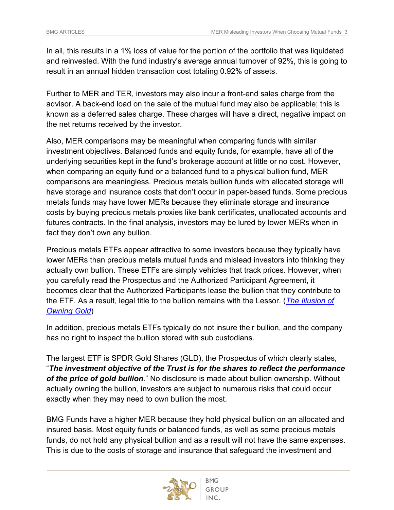In all, this results in a 1% loss of value for the portion of the portfolio that was liquidated and reinvested. With the fund industry's average annual turnover of 92%, this is going to result in an annual hidden transaction cost totaling 0.92% of assets.

Further to MER and TER, investors may also incur a front-end sales charge from the advisor. A back-end load on the sale of the mutual fund may also be applicable; this is known as a deferred sales charge. These charges will have a direct, negative impact on the net returns received by the investor.

Also, MER comparisons may be meaningful when comparing funds with similar investment objectives. Balanced funds and equity funds, for example, have all of the underlying securities kept in the fund's brokerage account at little or no cost. However, when comparing an equity fund or a balanced fund to a physical bullion fund, MER comparisons are meaningless. Precious metals bullion funds with allocated storage will have storage and insurance costs that don't occur in paper-based funds. Some precious metals funds may have lower MERs because they eliminate storage and insurance costs by buying precious metals proxies like bank certificates, unallocated accounts and futures contracts. In the final analysis, investors may be lured by lower MERs when in fact they don't own any bullion.

Precious metals ETFs appear attractive to some investors because they typically have lower MERs than precious metals mutual funds and mislead investors into thinking they actually own bullion. These ETFs are simply vehicles that track prices. However, when you carefully read the Prospectus and the Authorized Participant Agreement, it becomes clear that the Authorized Participants lease the bullion that they contribute to the ETF. As a result, legal title to the bullion remains with the Lessor. (*[The Illusion of](https://bmg-group.com/illusion-of-owning-gold/)  [Owning Gold](https://bmg-group.com/illusion-of-owning-gold/)*)

In addition, precious metals ETFs typically do not insure their bullion, and the company has no right to inspect the bullion stored with sub custodians.

The largest ETF is SPDR Gold Shares (GLD), the Prospectus of which clearly states, "*The investment objective of the Trust is for the shares to reflect the performance of the price of gold bullion*." No disclosure is made about bullion ownership. Without actually owning the bullion, investors are subject to numerous risks that could occur exactly when they may need to own bullion the most.

BMG Funds have a higher MER because they hold physical bullion on an allocated and insured basis. Most equity funds or balanced funds, as well as some precious metals funds, do not hold any physical bullion and as a result will not have the same expenses. This is due to the costs of storage and insurance that safeguard the investment and



GROUP